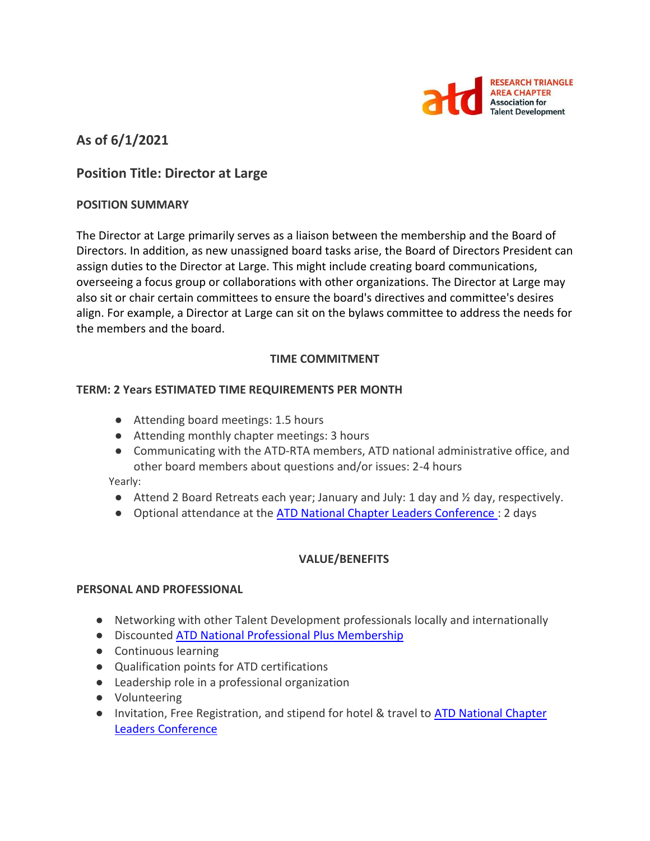

# **As of 6/1/2021**

# **Position Title: Director at Large**

#### **POSITION SUMMARY**

The Director at Large primarily serves as a liaison between the membership and the Board of Directors. In addition, as new unassigned board tasks arise, the Board of Directors President can assign duties to the Director at Large. This might include creating board communications, overseeing a focus group or collaborations with other organizations. The Director at Large may also sit or chair certain committees to ensure the board's directives and committee's desires align. For example, a Director at Large can sit on the bylaws committee to address the needs for the members and the board.

#### **TIME COMMITMENT**

#### **TERM: 2 Years ESTIMATED TIME REQUIREMENTS PER MONTH**

- Attending board meetings: 1.5 hours
- Attending monthly chapter meetings: 3 hours
- Communicating with the ATD-RTA members, ATD national administrative office, and other board members about questions and/or issues: 2-4 hours

Yearly:

- $\bullet$  Attend 2 Board Retreats each year; January and July: 1 day and  $\frac{1}{2}$  day, respectively.
- Optional attendance at the **ATD National Chapter Leaders Conference** : 2 days

#### **VALUE/BENEFITS**

#### **PERSONAL AND PROFESSIONAL**

- Networking with other Talent Development professionals locally and internationally
- Discounted [ATD National Professional Plus Membership](https://checkout.td.org/Membership)
- Continuous learning
- Qualification points for ATD certifications
- Leadership role in a professional organization
- Volunteering
- Invitation, Free Registration, and stipend for hotel & travel to ATD National Chapter [Leaders Conference](https://events.td.org/Chapter-Leaders-Conference)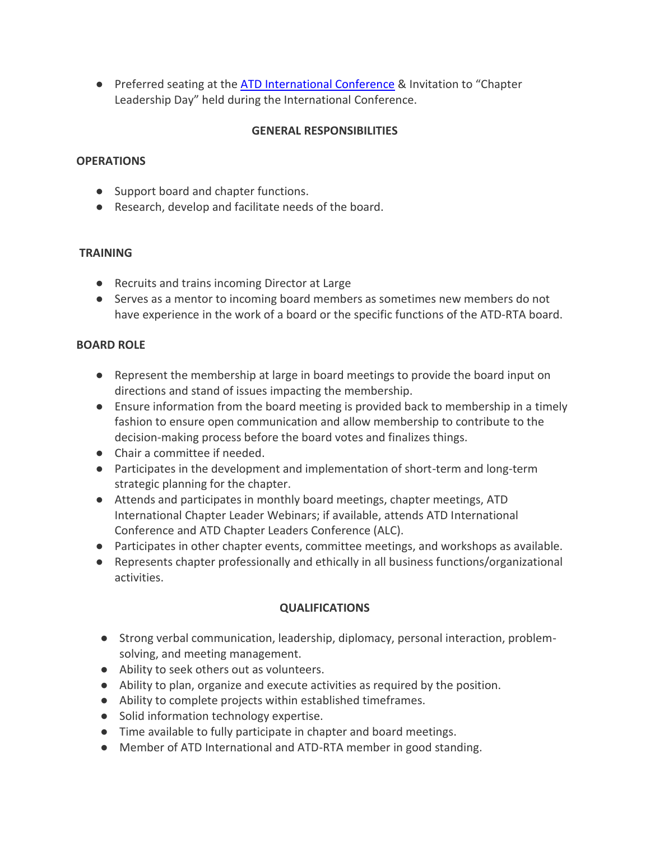● Preferred seating at the [ATD International Conference](https://www.td.org/events) & Invitation to "Chapter Leadership Day" held during the International Conference.

### **GENERAL RESPONSIBILITIES**

## **OPERATIONS**

- Support board and chapter functions.
- Research, develop and facilitate needs of the board.

# **TRAINING**

- Recruits and trains incoming Director at Large
- Serves as a mentor to incoming board members as sometimes new members do not have experience in the work of a board or the specific functions of the ATD-RTA board.

# **BOARD ROLE**

- Represent the membership at large in board meetings to provide the board input on directions and stand of issues impacting the membership.
- Ensure information from the board meeting is provided back to membership in a timely fashion to ensure open communication and allow membership to contribute to the decision-making process before the board votes and finalizes things.
- Chair a committee if needed.
- Participates in the development and implementation of short-term and long-term strategic planning for the chapter.
- Attends and participates in monthly board meetings, chapter meetings, ATD International Chapter Leader Webinars; if available, attends ATD International Conference and ATD Chapter Leaders Conference (ALC).
- Participates in other chapter events, committee meetings, and workshops as available.
- Represents chapter professionally and ethically in all business functions/organizational activities.

# **QUALIFICATIONS**

- Strong verbal communication, leadership, diplomacy, personal interaction, problemsolving, and meeting management.
- Ability to seek others out as volunteers.
- Ability to plan, organize and execute activities as required by the position.
- Ability to complete projects within established timeframes.
- Solid information technology expertise.
- Time available to fully participate in chapter and board meetings.
- Member of ATD International and ATD-RTA member in good standing.